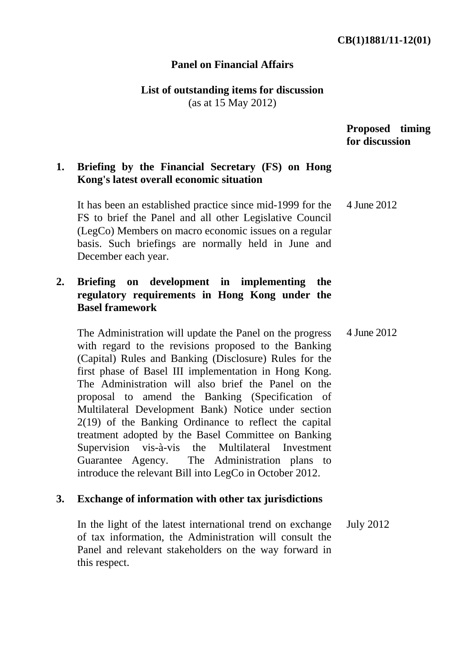### **Panel on Financial Affairs**

**List of outstanding items for discussion** 

(as at 15 May 2012)

#### **Proposed timing for discussion**

## **1. Briefing by the Financial Secretary (FS) on Hong Kong's latest overall economic situation**

It has been an established practice since mid-1999 for the FS to brief the Panel and all other Legislative Council (LegCo) Members on macro economic issues on a regular basis. Such briefings are normally held in June and December each year. 4 June 2012

# **2. Briefing on development in implementing the regulatory requirements in Hong Kong under the Basel framework**

The Administration will update the Panel on the progress with regard to the revisions proposed to the Banking (Capital) Rules and Banking (Disclosure) Rules for the first phase of Basel III implementation in Hong Kong. The Administration will also brief the Panel on the proposal to amend the Banking (Specification of Multilateral Development Bank) Notice under section 2(19) of the Banking Ordinance to reflect the capital treatment adopted by the Basel Committee on Banking Supervision vis-à-vis the Multilateral Investment Guarantee Agency. The Administration plans to introduce the relevant Bill into LegCo in October 2012. 4 June 2012

### **3. Exchange of information with other tax jurisdictions**

In the light of the latest international trend on exchange of tax information, the Administration will consult the Panel and relevant stakeholders on the way forward in this respect. July 2012